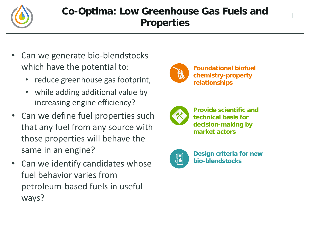

## **Co-Optima: Low Greenhouse Gas Fuels and Properties**

- Can we generate bio-blendstocks which have the potential to:
	- reduce greenhouse gas footprint,
	- while adding additional value by increasing engine efficiency?
- Can we define fuel properties such that any fuel from any source with those properties will behave the same in an engine?
- Can we identify candidates whose fuel behavior varies from petroleum-based fuels in useful ways?



**Foundational biofuel chemistry-property relationships**

1



**Provide scientific and technical basis for decision-making by market actors**



**Design criteria for new bio-blendstocks**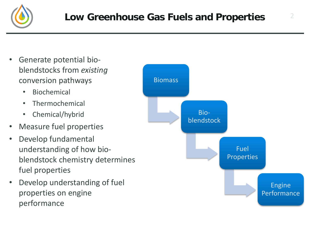

- Generate potential bioblendstocks from *existing* conversion pathways
	- Biochemical
	- Thermochemical
	- Chemical/hybrid
- Measure fuel properties
- Develop fundamental understanding of how bioblendstock chemistry determines fuel properties
- Develop understanding of fuel properties on engine performance

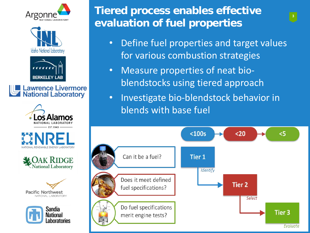

















# **Tiered process enables effective evaluation of fuel properties**

- Define fuel properties and target values for various combustion strategies
- Measure properties of neat bioblendstocks using tiered approach
- Investigate bio-blendstock behavior in blends with base fuel

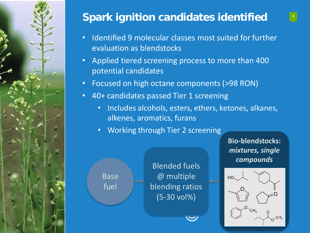

# **<sup>4</sup> Spark ignition candidates identified**

- Identified 9 molecular classes most suited for further evaluation as blendstocks
- Applied tiered screening process to more than 400 potential candidates

Blended fuels

@ multiple

blending ratios

(5-30 vol%)

- Focused on high octane components (>98 RON)
- 40+ candidates passed Tier 1 screening
	- Includes alcohols, esters, ethers, ketones, alkanes, alkenes, aromatics, furans
	- Working through Tier 2 screening

Base

fuel

**Bio-blendstocks:**  *mixtures, single compounds*

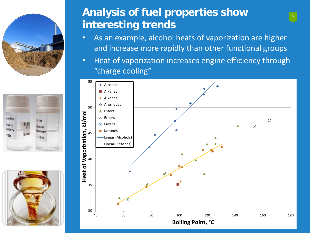





## **Analysis of fuel properties show <sup>5</sup> interesting trends**

- As an example, alcohol heats of vaporization are higher and increase more rapidly than other functional groups
- Heat of vaporization increases engine efficiency through "charge cooling"

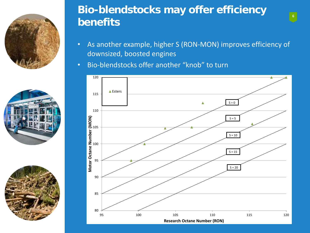





## **Bio-blendstocks may offer efficiency benefits**

- As another example, higher S (RON-MON) improves efficiency of downsized, boosted engines
- Bio-blendstocks offer another "knob" to turn

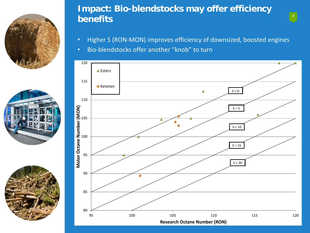





### **Impact: Bio-blendstocks may offer efficiency benefits**

- Higher S (RON-MON) improves efficiency of downsized, boosted engines
- Bio-blendstocks offer another "knob" to turn

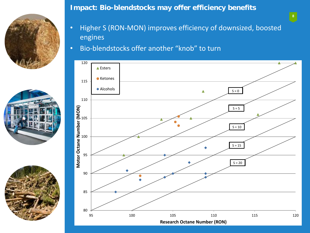





**Impact: Bio-blendstocks may offer efficiency benefits**

- Higher S (RON-MON) improves efficiency of downsized, boosted engines
- Bio-blendstocks offer another "knob" to turn

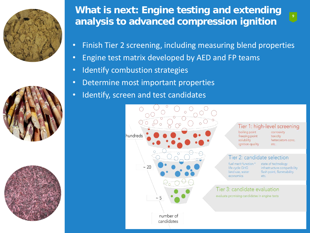





## **What is next: Engine testing and extending analysis to advanced compression ignition**



- Finish Tier 2 screening, including measuring blend properties
- Engine test matrix developed by AED and FP teams
- Identify combustion strategies
- Determine most important properties
- Identify, screen and test candidates



#### Tier 1: high-level screening

boiling point freezing point solubility ignition quality

corrosivity toxicity heteroatom conc. etc.

### Tier 2: candidate selection

fuel merit function \* life cycle GHG land use, water economics

state of technology infrastructure compatibility flash point, flammability etc.

### Tier 3: candidate evaluation evaluate promising candidates in engine tests